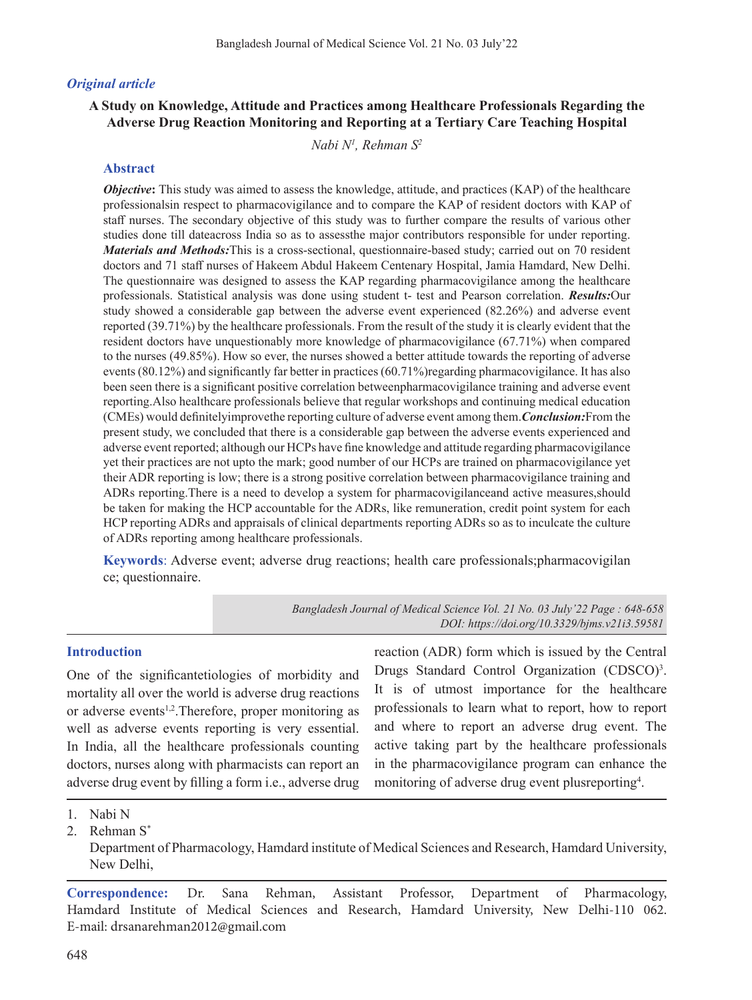## *Original article*

## **A Study on Knowledge, Attitude and Practices among Healthcare Professionals Regarding the Adverse Drug Reaction Monitoring and Reporting at a Tertiary Care Teaching Hospital**

*Nabi N1 , Rehman S2*

#### **Abstract**

*Objective***:** This study was aimed to assess the knowledge, attitude, and practices (KAP) of the healthcare professionalsin respect to pharmacovigilance and to compare the KAP of resident doctors with KAP of staff nurses. The secondary objective of this study was to further compare the results of various other studies done till dateacross India so as to assessthe major contributors responsible for under reporting. *Materials and Methods:*This is a cross-sectional, questionnaire-based study; carried out on 70 resident doctors and 71 staff nurses of Hakeem Abdul Hakeem Centenary Hospital, Jamia Hamdard, New Delhi. The questionnaire was designed to assess the KAP regarding pharmacovigilance among the healthcare professionals. Statistical analysis was done using student t- test and Pearson correlation. *Results:*Our study showed a considerable gap between the adverse event experienced (82.26%) and adverse event reported (39.71%) by the healthcare professionals. From the result of the study it is clearly evident that the resident doctors have unquestionably more knowledge of pharmacovigilance (67.71%) when compared to the nurses (49.85%). How so ever, the nurses showed a better attitude towards the reporting of adverse events (80.12%) and significantly far better in practices (60.71%)regarding pharmacovigilance. It has also been seen there is a significant positive correlation betweenpharmacovigilance training and adverse event reporting.Also healthcare professionals believe that regular workshops and continuing medical education (CMEs) would definitelyimprovethe reporting culture of adverse event among them.*Conclusion:*From the present study, we concluded that there is a considerable gap between the adverse events experienced and adverse event reported; although our HCPs have fine knowledge and attitude regarding pharmacovigilance yet their practices are not upto the mark; good number of our HCPs are trained on pharmacovigilance yet their ADR reporting is low; there is a strong positive correlation between pharmacovigilance training and ADRs reporting.There is a need to develop a system for pharmacovigilanceand active measures,should be taken for making the HCP accountable for the ADRs, like remuneration, credit point system for each HCP reporting ADRs and appraisals of clinical departments reporting ADRs so as to inculcate the culture of ADRs reporting among healthcare professionals.

**Keywords**: Adverse event; adverse drug reactions; health care professionals;pharmacovigilan ce; questionnaire.

> *Bangladesh Journal of Medical Science Vol. 21 No. 03 July'22 Page : 648-658 DOI: https://doi.org/10.3329/bjms.v21i3.59581*

#### **Introduction**

One of the significantetiologies of morbidity and mortality all over the world is adverse drug reactions or adverse events<sup>1,2</sup>. Therefore, proper monitoring as well as adverse events reporting is very essential. In India, all the healthcare professionals counting doctors, nurses along with pharmacists can report an adverse drug event by filling a form i.e., adverse drug

reaction (ADR) form which is issued by the Central Drugs Standard Control Organization (CDSCO)<sup>3</sup>. It is of utmost importance for the healthcare professionals to learn what to report, how to report and where to report an adverse drug event. The active taking part by the healthcare professionals in the pharmacovigilance program can enhance the monitoring of adverse drug event plusreporting<sup>4</sup>.

2. Rehman S\*

**Correspondence:** Dr. Sana Rehman, Assistant Professor, Department of Pharmacology, Hamdard Institute of Medical Sciences and Research, Hamdard University, New Delhi-110 062. E-mail: drsanarehman2012@gmail.com

<sup>1.</sup> Nabi N

Department of Pharmacology, Hamdard institute of Medical Sciences and Research, Hamdard University, New Delhi,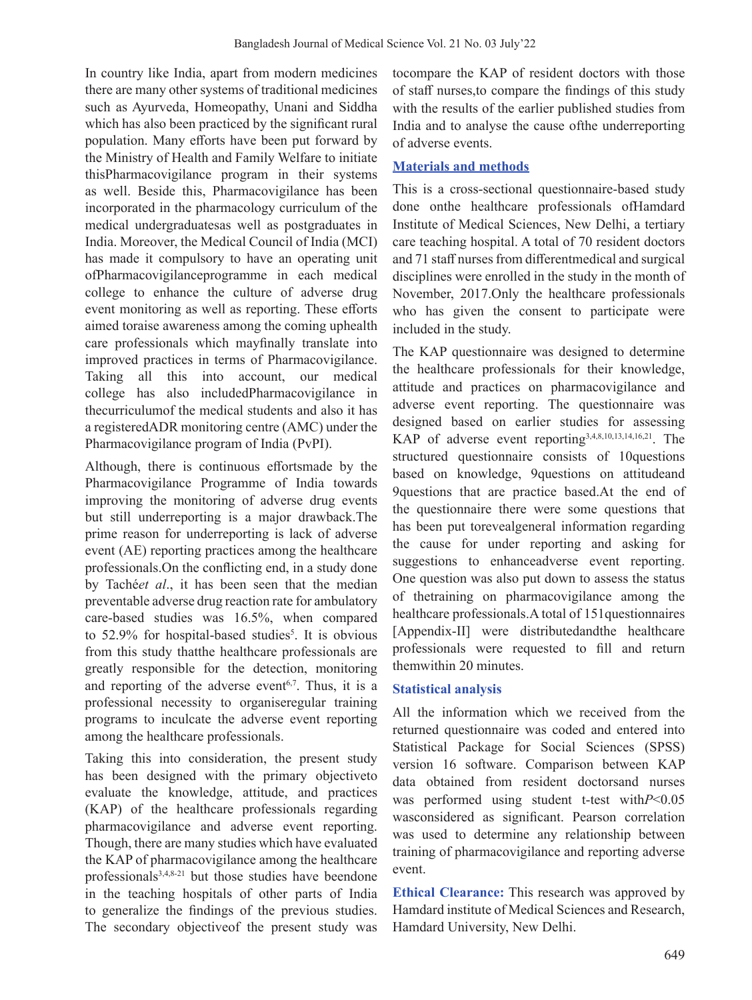In country like India, apart from modern medicines there are many other systems of traditional medicines such as Ayurveda, Homeopathy, Unani and Siddha which has also been practiced by the significant rural population. Many efforts have been put forward by the Ministry of Health and Family Welfare to initiate thisPharmacovigilance program in their systems as well. Beside this, Pharmacovigilance has been incorporated in the pharmacology curriculum of the medical undergraduatesas well as postgraduates in India. Moreover, the Medical Council of India (MCI) has made it compulsory to have an operating unit ofPharmacovigilanceprogramme in each medical college to enhance the culture of adverse drug event monitoring as well as reporting. These efforts aimed toraise awareness among the coming uphealth care professionals which mayfinally translate into improved practices in terms of Pharmacovigilance. Taking all this into account, our medical college has also includedPharmacovigilance in thecurriculumof the medical students and also it has a registeredADR monitoring centre (AMC) under the Pharmacovigilance program of India (PvPI).

Although, there is continuous effortsmade by the Pharmacovigilance Programme of India towards improving the monitoring of adverse drug events but still underreporting is a major drawback.The prime reason for underreporting is lack of adverse event (AE) reporting practices among the healthcare professionals.On the conflicting end, in a study done by Taché*et al*., it has been seen that the median preventable adverse drug reaction rate for ambulatory care-based studies was 16.5%, when compared to 52.9% for hospital-based studies<sup>5</sup>. It is obvious from this study thatthe healthcare professionals are greatly responsible for the detection, monitoring and reporting of the adverse event<sup> $6,7$ </sup>. Thus, it is a professional necessity to organiseregular training programs to inculcate the adverse event reporting among the healthcare professionals.

Taking this into consideration, the present study has been designed with the primary objectiveto evaluate the knowledge, attitude, and practices (KAP) of the healthcare professionals regarding pharmacovigilance and adverse event reporting. Though, there are many studies which have evaluated the KAP of pharmacovigilance among the healthcare professionals3,4,8-21 but those studies have beendone in the teaching hospitals of other parts of India to generalize the findings of the previous studies. The secondary objectiveof the present study was

tocompare the KAP of resident doctors with those of staff nurses,to compare the findings of this study with the results of the earlier published studies from India and to analyse the cause ofthe underreporting of adverse events.

## **Materials and methods**

This is a cross-sectional questionnaire-based study done onthe healthcare professionals ofHamdard Institute of Medical Sciences, New Delhi, a tertiary care teaching hospital. A total of 70 resident doctors and 71 staff nurses from differentmedical and surgical disciplines were enrolled in the study in the month of November, 2017.Only the healthcare professionals who has given the consent to participate were included in the study.

The KAP questionnaire was designed to determine the healthcare professionals for their knowledge, attitude and practices on pharmacovigilance and adverse event reporting. The questionnaire was designed based on earlier studies for assessing KAP of adverse event reporting3,4,8,10,13,14,16,21. The structured questionnaire consists of 10questions based on knowledge, 9questions on attitudeand 9questions that are practice based.At the end of the questionnaire there were some questions that has been put torevealgeneral information regarding the cause for under reporting and asking for suggestions to enhanceadverse event reporting. One question was also put down to assess the status of thetraining on pharmacovigilance among the healthcare professionals.A total of 151questionnaires [Appendix-II] were distributedandthe healthcare professionals were requested to fill and return themwithin 20 minutes.

### **Statistical analysis**

All the information which we received from the returned questionnaire was coded and entered into Statistical Package for Social Sciences (SPSS) version 16 software. Comparison between KAP data obtained from resident doctorsand nurses was performed using student t-test with*P*<0.05 wasconsidered as significant. Pearson correlation was used to determine any relationship between training of pharmacovigilance and reporting adverse event.

**Ethical Clearance:** This research was approved by Hamdard institute of Medical Sciences and Research, Hamdard University, New Delhi.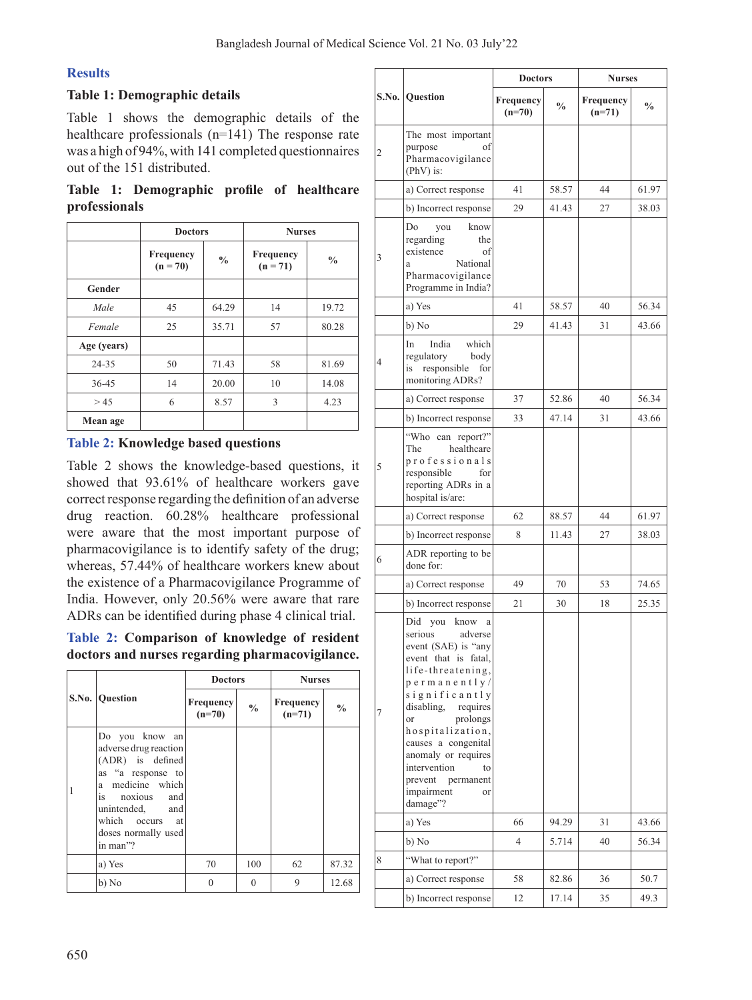# **Results**

### **Table 1: Demographic details**

Table 1 shows the demographic details of the healthcare professionals (n=141) The response rate was a high of  $94\%$ , with 141 completed questionnaires out of the 151 distributed.

**Table 1: Demographic profile of healthcare professionals**

|             | <b>Doctors</b>          |               | <b>Nurses</b>           |               |  |
|-------------|-------------------------|---------------|-------------------------|---------------|--|
|             | Frequency<br>$(n = 70)$ | $\frac{0}{0}$ | Frequency<br>$(n = 71)$ | $\frac{0}{0}$ |  |
| Gender      |                         |               |                         |               |  |
| Male        | 45                      | 64.29         | 14                      | 19.72         |  |
| Female      | 25                      | 35.71         | 57                      | 80.28         |  |
| Age (years) |                         |               |                         |               |  |
| 24-35       | 50                      | 71.43         | 58                      | 81.69         |  |
| $36 - 45$   | 14                      | 20.00         | 10                      | 14.08         |  |
| > 45        | 6                       | 8.57          | 3                       | 4.23          |  |
| Mean age    |                         |               |                         |               |  |

# **Table 2: Knowledge based questions**

Table 2 shows the knowledge-based questions, it showed that 93.61% of healthcare workers gave correctresponse regarding the definition of an adverse drug reaction. 60.28% healthcare professional were aware that the most important purpose of pharmacovigilance is to identify safety of the drug; whereas, 57.44% of healthcare workers knew about the existence of a Pharmacovigilance Programme of India. However, only 20.56% were aware that rare ADRs can be identified during phase 4 clinical trial.

### **Table 2: Comparison of knowledge of resident doctors and nurses regarding pharmacovigilance.**

|                                                                                                                                                                                                 | <b>Doctors</b>        |               | <b>Nurses</b>         |               |  |
|-------------------------------------------------------------------------------------------------------------------------------------------------------------------------------------------------|-----------------------|---------------|-----------------------|---------------|--|
| S.No. Question                                                                                                                                                                                  | Frequency<br>$(n=70)$ | $\frac{0}{0}$ | Frequency<br>$(n=71)$ | $\frac{0}{0}$ |  |
| Do you know an<br>adverse drug reaction<br>(ADR) is defined<br>as "a response to<br>a medicine which<br>is noxious and<br>unintended, and<br>which occurs at<br>doses normally used<br>in man"? |                       |               |                       |               |  |
| a) Yes                                                                                                                                                                                          | 70                    | 100           | 62                    | 87.32         |  |
| b) No                                                                                                                                                                                           | $\theta$              | $\Omega$      | 9                     | 12.68         |  |

|   |                                                                                                                                                                                                                                                                                                                                                      | <b>Doctors</b>        |               | <b>Nurses</b>         |               |  |
|---|------------------------------------------------------------------------------------------------------------------------------------------------------------------------------------------------------------------------------------------------------------------------------------------------------------------------------------------------------|-----------------------|---------------|-----------------------|---------------|--|
|   | S.No. Question                                                                                                                                                                                                                                                                                                                                       | Frequency<br>$(n=70)$ | $\frac{0}{0}$ | Frequency<br>$(n=71)$ | $\frac{0}{0}$ |  |
| 2 | The most important<br>purpose<br>of<br>Pharmacovigilance<br>(PhV) is:                                                                                                                                                                                                                                                                                |                       |               |                       |               |  |
|   | a) Correct response                                                                                                                                                                                                                                                                                                                                  | 41                    | 58.57         | 44                    | 61.97         |  |
|   | b) Incorrect response                                                                                                                                                                                                                                                                                                                                | 29                    | 41.43         | 27                    | 38.03         |  |
| 3 | Do<br>you<br>know<br>regarding<br>the<br>existence<br>of<br>National<br>a<br>Pharmacovigilance<br>Programme in India?                                                                                                                                                                                                                                |                       |               |                       |               |  |
|   | a) Yes                                                                                                                                                                                                                                                                                                                                               | 41                    | 58.57         | 40                    | 56.34         |  |
|   | b) No                                                                                                                                                                                                                                                                                                                                                | 29                    | 41.43         | 31                    | 43.66         |  |
| 4 | India<br>which<br>In<br>regulatory<br>body<br>responsible<br>is<br>for<br>monitoring ADRs?                                                                                                                                                                                                                                                           |                       |               |                       |               |  |
|   | a) Correct response                                                                                                                                                                                                                                                                                                                                  | 37                    | 52.86         | 40                    | 56.34         |  |
|   | b) Incorrect response                                                                                                                                                                                                                                                                                                                                | 33                    | 47.14         | 31                    | 43.66         |  |
| 5 | "Who can report?"<br>healthcare<br>The<br>professionals<br>responsible<br>for<br>reporting ADRs in a<br>hospital is/are:                                                                                                                                                                                                                             |                       |               |                       |               |  |
|   | a) Correct response                                                                                                                                                                                                                                                                                                                                  | 62                    | 88.57         | 44                    | 61.97         |  |
|   | b) Incorrect response                                                                                                                                                                                                                                                                                                                                | 8                     | 11.43         | 27                    | 38.03         |  |
| 6 | ADR reporting to be<br>done for:                                                                                                                                                                                                                                                                                                                     |                       |               |                       |               |  |
|   | a) Correct response                                                                                                                                                                                                                                                                                                                                  | 49                    | 70            | 53                    | 74.65         |  |
|   | b) Incorrect response                                                                                                                                                                                                                                                                                                                                | 21                    | 30            | 18                    | 25.35         |  |
| 7 | Did you know<br>$\rm{a}$<br>serious adverse<br>event (SAE) is "any<br>event that is fatal,<br>life-threatening,<br>$perm$ anently/<br>significantly<br>disabling,<br>requires<br>prolongs<br><sub>or</sub><br>hospitalization,<br>causes a congenital<br>anomaly or requires<br>intervention<br>prevent<br>permanent<br>impairment<br>or<br>damage"? |                       |               |                       |               |  |
|   | a) Yes                                                                                                                                                                                                                                                                                                                                               | 66                    | 94.29         | 31                    | 43.66         |  |
|   | b) No                                                                                                                                                                                                                                                                                                                                                | 4                     | 5.714         | 40                    | 56.34         |  |
| 8 | "What to report?"                                                                                                                                                                                                                                                                                                                                    |                       |               |                       |               |  |
|   | a) Correct response                                                                                                                                                                                                                                                                                                                                  | 58                    | 82.86         | 36                    | 50.7          |  |
|   | b) Incorrect response                                                                                                                                                                                                                                                                                                                                | 12                    | 17.14         | 35                    | 49.3          |  |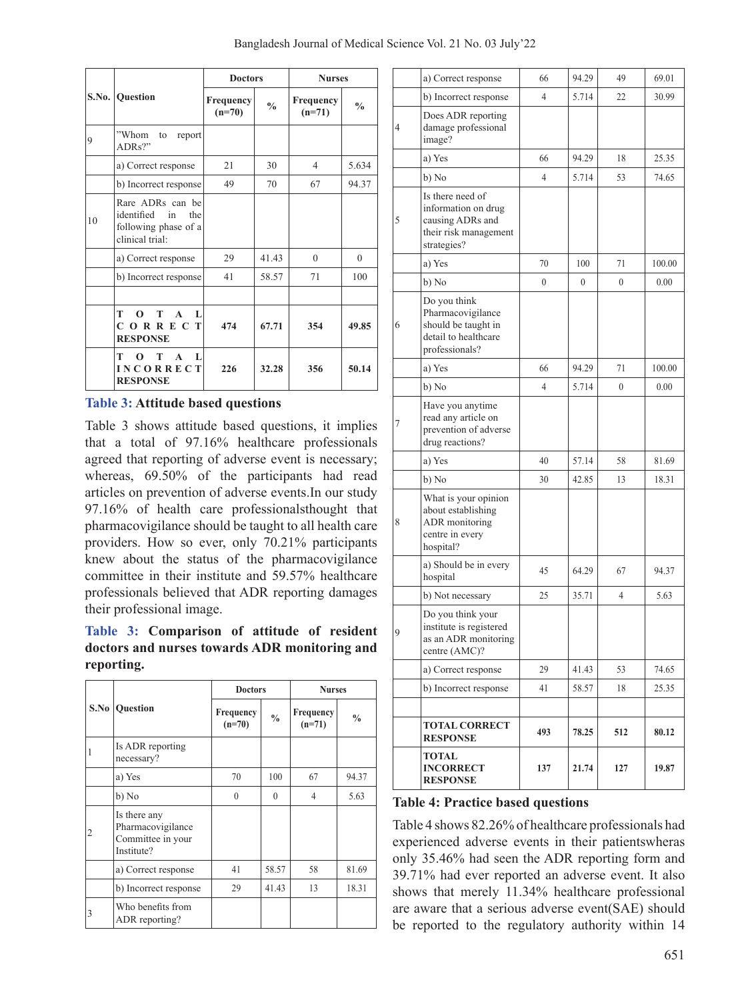|  | Bangladesh Journal of Medical Science Vol. 21 No. 03 July'22 |  |  |  |  |  |  |  |
|--|--------------------------------------------------------------|--|--|--|--|--|--|--|
|--|--------------------------------------------------------------|--|--|--|--|--|--|--|

|    |                                                                                     | <b>Doctors</b>        |               | <b>Nurses</b>         |               |  |
|----|-------------------------------------------------------------------------------------|-----------------------|---------------|-----------------------|---------------|--|
|    | S.No. Question                                                                      | Frequency<br>$(n=70)$ | $\frac{0}{0}$ | Frequency<br>$(n=71)$ | $\frac{0}{0}$ |  |
| 9  | "Whom<br>to<br>report<br>ADRs?"                                                     |                       |               |                       |               |  |
|    | a) Correct response                                                                 | 21                    | 30            | $\overline{4}$        | 5.634         |  |
|    | b) Incorrect response                                                               | 49                    | 70            | 67                    | 94.37         |  |
| 10 | Rare ADRs can be<br>identified in<br>the<br>following phase of a<br>clinical trial: |                       |               |                       |               |  |
|    | a) Correct response                                                                 | 29                    | 41.43         | $\theta$              | $\theta$      |  |
|    | b) Incorrect response                                                               | 41                    | 58.57         | 71                    | 100           |  |
|    |                                                                                     |                       |               |                       |               |  |
|    | т<br>$\Omega$<br>т<br>$\mathbf{A}$<br>L<br>CORRECT<br><b>RESPONSE</b>               | 474                   | 67.71         | 354                   | 49.85         |  |
|    | т<br>т<br>$\mathbf{A}$<br>L<br><b>INCORRECT</b><br><b>RESPONSE</b>                  | 226                   | 32.28         | 356                   | 50.14         |  |

### **Table 3: Attitude based questions**

Table 3 shows attitude based questions, it implies that a total of 97.16% healthcare professionals agreed that reporting of adverse event is necessary; whereas, 69.50% of the participants had read articles on prevention of adverse events.In our study 97.16% of health care professionalsthought that pharmacovigilance should be taught to all health care providers. How so ever, only 70.21% participants knew about the status of the pharmacovigilance committee in their institute and 59.57% healthcare professionals believed that ADR reporting damages their professional image.

## **Table 3: Comparison of attitude of resident doctors and nurses towards ADR monitoring and reporting.**

|   |                                                                      | <b>Doctors</b>        |               | <b>Nurses</b>         |               |  |
|---|----------------------------------------------------------------------|-----------------------|---------------|-----------------------|---------------|--|
|   | <b>S.No   Question</b>                                               | Frequency<br>$(n=70)$ | $\frac{0}{0}$ | Frequency<br>$(n=71)$ | $\frac{0}{0}$ |  |
|   | Is ADR reporting<br>necessary?                                       |                       |               |                       |               |  |
|   | a) Yes                                                               | 70                    | 100           | 67                    | 94.37         |  |
|   | b) No                                                                | $\theta$              | $\theta$      | 4                     | 5.63          |  |
| 2 | Is there any<br>Pharmacovigilance<br>Committee in your<br>Institute? |                       |               |                       |               |  |
|   | a) Correct response                                                  | 41                    | 58.57         | 58                    | 81.69         |  |
|   | b) Incorrect response                                                | 29                    | 41.43         | 13                    | 18.31         |  |
| 3 | Who benefits from<br>ADR reporting?                                  |                       |               |                       |               |  |

|   | a) Correct response                                                                                 | 66       | 94.29            | 49       | 69.01  |
|---|-----------------------------------------------------------------------------------------------------|----------|------------------|----------|--------|
|   | b) Incorrect response                                                                               | 4        | 5.714            | 22       | 30.99  |
| 4 | Does ADR reporting<br>damage professional<br>image?                                                 |          |                  |          |        |
|   | a) Yes                                                                                              | 66       | 94.29            | 18       | 25.35  |
|   | b) No                                                                                               | 4        | 5.714            | 53       | 74.65  |
| 5 | Is there need of<br>information on drug<br>causing ADRs and<br>their risk management<br>strategies? |          |                  |          |        |
|   | a) Yes                                                                                              | 70       | 100              | 71       | 100.00 |
|   | b) No                                                                                               | $\theta$ | $\boldsymbol{0}$ | $\theta$ | 0.00   |
| 6 | Do you think<br>Pharmacovigilance<br>should be taught in<br>detail to healthcare<br>professionals?  |          |                  |          |        |
|   | a) Yes                                                                                              | 66       | 94.29            | 71       | 100.00 |
|   | b) No                                                                                               | 4        | 5.714            | $\theta$ | 0.00   |
| 7 | Have you anytime<br>read any article on<br>prevention of adverse<br>drug reactions?                 |          |                  |          |        |
|   | a) Yes                                                                                              | 40       | 57.14            | 58       | 81.69  |
|   | b) No                                                                                               | 30       | 42.85            | 13       | 18.31  |
| 8 | What is your opinion<br>about establishing<br>ADR monitoring<br>centre in every<br>hospital?        |          |                  |          |        |
|   | a) Should be in every<br>hospital                                                                   | 45       | 64.29            | 67       | 94.37  |
|   | b) Not necessary                                                                                    | 25       | 35.71            | 4        | 5.63   |
| 9 | Do you think your<br>institute is registered<br>as an ADR monitoring<br>centre (AMC)?               |          |                  |          |        |
|   | a) Correct response                                                                                 | 29       | 41.43            | 53       | 74.65  |
|   | b) Incorrect response                                                                               | 41       | 58.57            | 18       | 25.35  |
|   | <b>TOTAL CORRECT</b><br><b>RESPONSE</b>                                                             | 493      | 78.25            | 512      | 80.12  |
|   | TOTAL<br><b>INCORRECT</b><br><b>RESPONSE</b>                                                        | 137      | 21.74            | 127      | 19.87  |

#### **Table 4: Practice based questions**

Table 4 shows 82.26% of healthcare professionals had experienced adverse events in their patientswheras only 35.46% had seen the ADR reporting form and 39.71% had ever reported an adverse event. It also shows that merely 11.34% healthcare professional are aware that a serious adverse event(SAE) should be reported to the regulatory authority within 14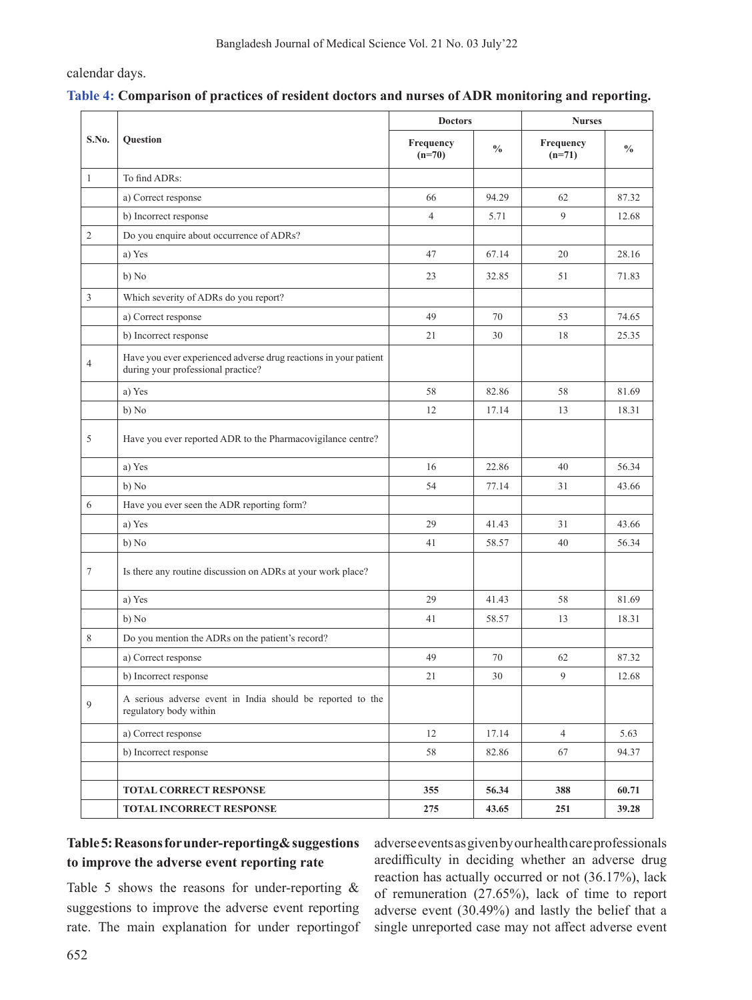calendar days.

### **Table 4: Comparison of practices of resident doctors and nurses of ADR monitoring and reporting.**

|                |                                                                                                        | <b>Doctors</b>        |               | <b>Nurses</b>         |               |  |
|----------------|--------------------------------------------------------------------------------------------------------|-----------------------|---------------|-----------------------|---------------|--|
| S.No.          | Question                                                                                               | Frequency<br>$(n=70)$ | $\frac{0}{0}$ | Frequency<br>$(n=71)$ | $\frac{0}{0}$ |  |
| $\mathbf{1}$   | To find ADRs:                                                                                          |                       |               |                       |               |  |
|                | a) Correct response                                                                                    | 66                    | 94.29         | 62                    | 87.32         |  |
|                | b) Incorrect response                                                                                  | $\overline{4}$        | 5.71          | 9                     | 12.68         |  |
| $\mathfrak{2}$ | Do you enquire about occurrence of ADRs?                                                               |                       |               |                       |               |  |
|                | a) Yes                                                                                                 | 47                    | 67.14         | 20                    | 28.16         |  |
|                | b) No                                                                                                  | 23                    | 32.85         | 51                    | 71.83         |  |
| 3              | Which severity of ADRs do you report?                                                                  |                       |               |                       |               |  |
|                | a) Correct response                                                                                    | 49                    | 70            | 53                    | 74.65         |  |
|                | b) Incorrect response                                                                                  | 21                    | 30            | 18                    | 25.35         |  |
| $\overline{4}$ | Have you ever experienced adverse drug reactions in your patient<br>during your professional practice? |                       |               |                       |               |  |
|                | a) Yes                                                                                                 | 58                    | 82.86         | 58                    | 81.69         |  |
|                | b) No                                                                                                  | 12                    | 17.14         | 13                    | 18.31         |  |
| 5              | Have you ever reported ADR to the Pharmacovigilance centre?                                            |                       |               |                       |               |  |
|                | a) Yes                                                                                                 | 16                    | 22.86         | 40                    | 56.34         |  |
|                | b) No                                                                                                  | 54                    | 77.14         | 31                    | 43.66         |  |
| 6              | Have you ever seen the ADR reporting form?                                                             |                       |               |                       |               |  |
|                | a) Yes                                                                                                 | 29                    | 41.43         | 31                    | 43.66         |  |
|                | b) No                                                                                                  | 41                    | 58.57         | 40                    | 56.34         |  |
| $\tau$         | Is there any routine discussion on ADRs at your work place?                                            |                       |               |                       |               |  |
|                | a) Yes                                                                                                 | 29                    | 41.43         | 58                    | 81.69         |  |
|                | b) No                                                                                                  | 41                    | 58.57         | 13                    | 18.31         |  |
| 8              | Do you mention the ADRs on the patient's record?                                                       |                       |               |                       |               |  |
|                | a) Correct response                                                                                    | 49                    | 70            | 62                    | 87.32         |  |
|                | b) Incorrect response                                                                                  | $21\,$                | $30\,$        | 9                     | 12.68         |  |
| 9              | A serious adverse event in India should be reported to the<br>regulatory body within                   |                       |               |                       |               |  |
|                | a) Correct response                                                                                    | 12                    | 17.14         | $\overline{4}$        | 5.63          |  |
|                | b) Incorrect response                                                                                  | 58                    | 82.86         | 67                    | 94.37         |  |
|                |                                                                                                        |                       |               |                       |               |  |
|                | TOTAL CORRECT RESPONSE                                                                                 | 355                   | 56.34         | 388                   | 60.71         |  |
|                | TOTAL INCORRECT RESPONSE                                                                               | 275                   | 43.65         | 251                   | 39.28         |  |

# **Table 5: Reasons for under-reporting& suggestions to improve the adverse event reporting rate**

Table 5 shows the reasons for under-reporting & suggestions to improve the adverse event reporting rate. The main explanation for under reportingof adverse events as given by our health care professionals aredifficulty in deciding whether an adverse drug reaction has actually occurred or not (36.17%), lack of remuneration (27.65%), lack of time to report adverse event (30.49%) and lastly the belief that a single unreported case may not affect adverse event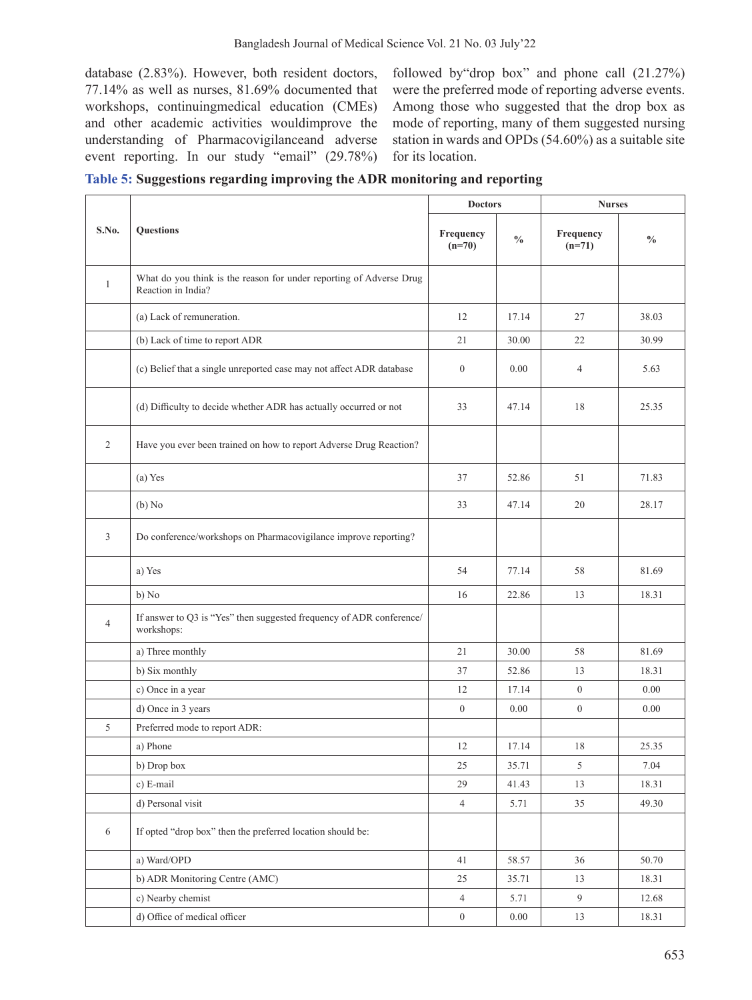database (2.83%). However, both resident doctors, 77.14% as well as nurses, 81.69% documented that workshops, continuingmedical education (CMEs) and other academic activities wouldimprove the understanding of Pharmacovigilanceand adverse event reporting. In our study "email" (29.78%)

followed by"drop box" and phone call (21.27%) were the preferred mode of reporting adverse events. Among those who suggested that the drop box as mode of reporting, many of them suggested nursing station in wards and OPDs (54.60%) as a suitable site for its location.

|  |  |  | Table 5: Suggestions regarding improving the ADR monitoring and reporting |
|--|--|--|---------------------------------------------------------------------------|
|  |  |  |                                                                           |

|                |                                                                                           | <b>Doctors</b>        |               | <b>Nurses</b>         |               |  |
|----------------|-------------------------------------------------------------------------------------------|-----------------------|---------------|-----------------------|---------------|--|
| S.No.          | <b>Questions</b>                                                                          | Frequency<br>$(n=70)$ | $\frac{0}{0}$ | Frequency<br>$(n=71)$ | $\frac{0}{0}$ |  |
| $\mathbf{1}$   | What do you think is the reason for under reporting of Adverse Drug<br>Reaction in India? |                       |               |                       |               |  |
|                | (a) Lack of remuneration.                                                                 | 12                    | 17.14         | 27                    | 38.03         |  |
|                | (b) Lack of time to report ADR                                                            | 21                    | 30.00         | 22                    | 30.99         |  |
|                | (c) Belief that a single unreported case may not affect ADR database                      | $\overline{0}$        | 0.00          | $\overline{4}$        | 5.63          |  |
|                | (d) Difficulty to decide whether ADR has actually occurred or not                         | 33                    | 47.14         | 18                    | 25.35         |  |
| $\overline{2}$ | Have you ever been trained on how to report Adverse Drug Reaction?                        |                       |               |                       |               |  |
|                | (a) Yes                                                                                   | 37                    | 52.86         | 51                    | 71.83         |  |
|                | (b) No                                                                                    | 33                    | 47.14         | 20                    | 28.17         |  |
| 3              | Do conference/workshops on Pharmacovigilance improve reporting?                           |                       |               |                       |               |  |
|                | a) Yes                                                                                    | 54                    | 77.14         | 58                    | 81.69         |  |
|                | b) No                                                                                     | 16                    | 22.86         | 13                    | 18.31         |  |
| $\overline{4}$ | If answer to Q3 is "Yes" then suggested frequency of ADR conference/<br>workshops:        |                       |               |                       |               |  |
|                | a) Three monthly                                                                          | 21                    | 30.00         | 58                    | 81.69         |  |
|                | b) Six monthly                                                                            | 37                    | 52.86         | 13                    | 18.31         |  |
|                | c) Once in a year                                                                         | 12                    | 17.14         | $\theta$              | 0.00          |  |
|                | d) Once in 3 years                                                                        | $\overline{0}$        | 0.00          | $\theta$              | 0.00          |  |
| 5              | Preferred mode to report ADR:                                                             |                       |               |                       |               |  |
|                | a) Phone                                                                                  | 12                    | 17.14         | 18                    | 25.35         |  |
|                | b) Drop box                                                                               | 25                    | 35.71         | 5                     | 7.04          |  |
|                | c) E-mail                                                                                 | 29                    | 41.43         | 13                    | 18.31         |  |
|                | d) Personal visit                                                                         | $\overline{4}$        | 5.71          | 35                    | 49.30         |  |
| 6              | If opted "drop box" then the preferred location should be:                                |                       |               |                       |               |  |
|                | a) Ward/OPD                                                                               | 41                    | 58.57         | 36                    | 50.70         |  |
|                | b) ADR Monitoring Centre (AMC)                                                            | 25                    | 35.71         | 13                    | 18.31         |  |
|                | c) Nearby chemist                                                                         | $\overline{4}$        | 5.71          | 9                     | 12.68         |  |
|                | d) Office of medical officer                                                              | $\boldsymbol{0}$      | 0.00          | 13                    | 18.31         |  |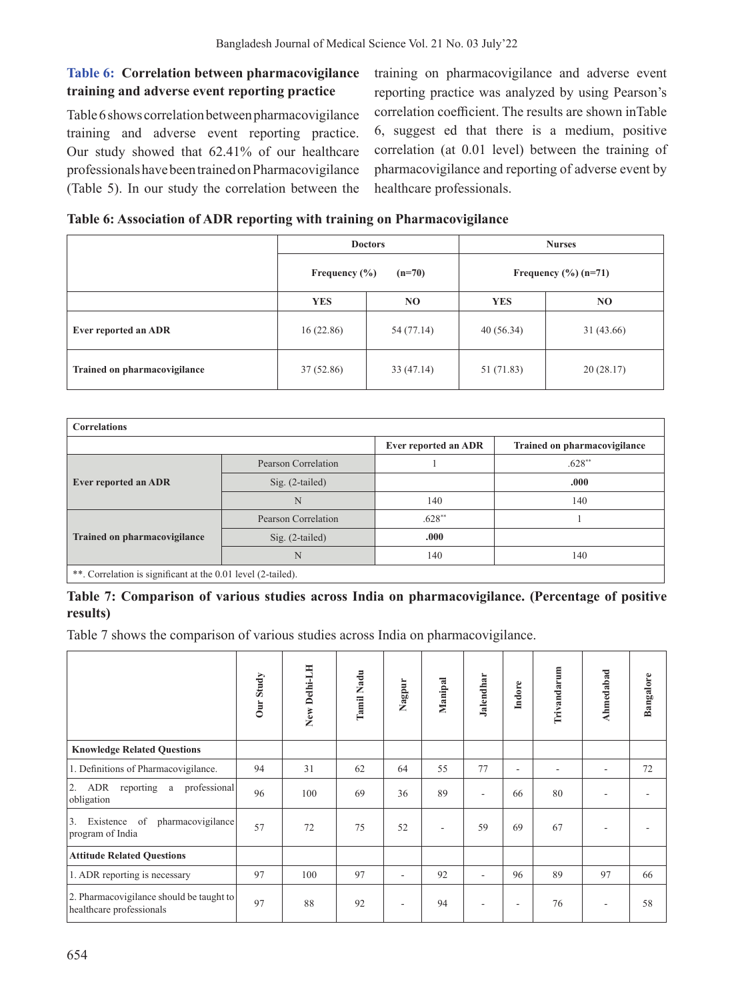# **Table 6: Correlation between pharmacovigilance training and adverse event reporting practice**

Table 6 shows correlation between pharmacovigilance training and adverse event reporting practice. Our study showed that 62.41% of our healthcare professionals have been trained on Pharmacovigilance (Table 5). In our study the correlation between the training on pharmacovigilance and adverse event reporting practice was analyzed by using Pearson's correlation coefficient. The results are shown inTable 6, suggest ed that there is a medium, positive correlation (at 0.01 level) between the training of pharmacovigilance and reporting of adverse event by healthcare professionals.

## **Table 6: Association of ADR reporting with training on Pharmacovigilance**

|                              |                        | <b>Doctors</b> | <b>Nurses</b>          |            |  |
|------------------------------|------------------------|----------------|------------------------|------------|--|
|                              | Frequency $(\% )$      | $(n=70)$       | Frequency $(\%)(n=71)$ |            |  |
|                              | <b>YES</b>             | N <sub>O</sub> | <b>YES</b>             | NO.        |  |
| Ever reported an ADR         | 16(22.86)              | 54 (77.14)     | 40(56.34)              | 31 (43.66) |  |
| Trained on pharmacovigilance | 37(52.86)<br>33(47.14) |                | 51 (71.83)             | 20(28.17)  |  |

| <b>Correlations</b>                                          |                     |                      |                              |  |  |  |  |  |
|--------------------------------------------------------------|---------------------|----------------------|------------------------------|--|--|--|--|--|
|                                                              |                     | Ever reported an ADR | Trained on pharmacovigilance |  |  |  |  |  |
|                                                              | Pearson Correlation |                      | $.628**$                     |  |  |  |  |  |
| <b>Ever reported an ADR</b>                                  | $Sig. (2-tailed)$   |                      | .000                         |  |  |  |  |  |
|                                                              | N                   | 140                  | 140                          |  |  |  |  |  |
|                                                              | Pearson Correlation | $.628**$             |                              |  |  |  |  |  |
| <b>Trained on pharmacovigilance</b>                          | $Sig. (2-tailed)$   | .000                 |                              |  |  |  |  |  |
|                                                              | N                   | 140                  | 140                          |  |  |  |  |  |
| **. Correlation is significant at the 0.01 level (2-tailed). |                     |                      |                              |  |  |  |  |  |

## **Table 7: Comparison of various studies across India on pharmacovigilance. (Percentage of positive results)**

Table 7 shows the comparison of various studies across India on pharmacovigilance.

|                                                                      | Our Study | New Delhi-LH | Tamil Nadu | Nagpur                   | Manipal | Jalendhar | Indore | Trivandarum | Ahmedabad                | Bangalore |
|----------------------------------------------------------------------|-----------|--------------|------------|--------------------------|---------|-----------|--------|-------------|--------------------------|-----------|
| <b>Knowledge Related Questions</b>                                   |           |              |            |                          |         |           |        |             |                          |           |
| 1. Definitions of Pharmacovigilance.                                 | 94        | 31           | 62         | 64                       | 55      | 77        | ٠      | ۰           | ÷,                       | 72        |
| reporting a<br>professional<br>2. ADR<br>obligation                  | 96        | 100          | 69         | 36                       | 89      | ۰         | 66     | 80          | ٠                        |           |
| of pharmacovigilance<br>3.<br>Existence<br>program of India          | 57        | 72           | 75         | 52                       |         | 59        | 69     | 67          | ٠                        |           |
| <b>Attitude Related Questions</b>                                    |           |              |            |                          |         |           |        |             |                          |           |
| 1. ADR reporting is necessary                                        | 97        | 100          | 97         | $\overline{\phantom{a}}$ | 92      | ۰         | 96     | 89          | 97                       | 66        |
| 2. Pharmacovigilance should be taught to<br>healthcare professionals | 97        | 88           | 92         | ٠                        | 94      | ٠         | ٠      | 76          | $\overline{\phantom{a}}$ | 58        |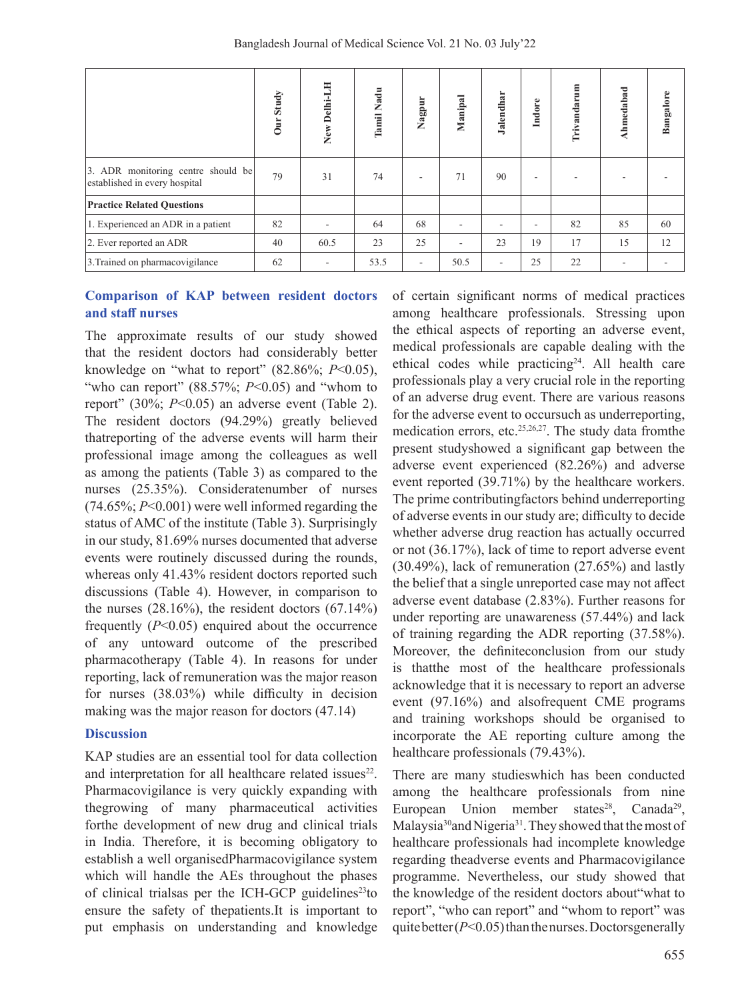|                                                                     | Our Study | New Delhi-LH | Tamil Nadu | Nagpur | Manipal | Jalendhar | Indore | Trivandarum | Ahmedabad | Bangalore |
|---------------------------------------------------------------------|-----------|--------------|------------|--------|---------|-----------|--------|-------------|-----------|-----------|
| 3. ADR monitoring centre should be<br>established in every hospital | 79        | 31           | 74         | ۰      | 71      | 90        | ۰      |             |           |           |
| <b>Practice Related Questions</b>                                   |           |              |            |        |         |           |        |             |           |           |
| 1. Experienced an ADR in a patient                                  | 82        |              | 64         | 68     |         |           | ۰      | 82          | 85        | 60        |
| 2. Ever reported an ADR                                             | 40        | 60.5         | 23         | 25     |         | 23        | 19     | 17          | 15        | 12        |
| 3. Trained on pharmacovigilance                                     | 62        | ۰            | 53.5       | ٠      | 50.5    | ٠         | 25     | 22          | ۰         | ٠         |

### **Comparison of KAP between resident doctors and staff nurses**

The approximate results of our study showed that the resident doctors had considerably better knowledge on "what to report" (82.86%; *P*<0.05), "who can report" (88.57%; *P*<0.05) and "whom to report" (30%; *P*<0.05) an adverse event (Table 2). The resident doctors (94.29%) greatly believed thatreporting of the adverse events will harm their professional image among the colleagues as well as among the patients (Table 3) as compared to the nurses (25.35%). Consideratenumber of nurses (74.65%; *P*<0.001) were well informed regarding the status of AMC of the institute (Table 3). Surprisingly in our study, 81.69% nurses documented that adverse events were routinely discussed during the rounds, whereas only 41.43% resident doctors reported such discussions (Table 4). However, in comparison to the nurses  $(28.16\%)$ , the resident doctors  $(67.14\%)$ frequently (*P*<0.05) enquired about the occurrence of any untoward outcome of the prescribed pharmacotherapy (Table 4). In reasons for under reporting, lack of remuneration was the major reason for nurses (38.03%) while difficulty in decision making was the major reason for doctors (47.14)

#### **Discussion**

KAP studies are an essential tool for data collection and interpretation for all healthcare related issues<sup>22</sup>. Pharmacovigilance is very quickly expanding with thegrowing of many pharmaceutical activities forthe development of new drug and clinical trials in India. Therefore, it is becoming obligatory to establish a well organisedPharmacovigilance system which will handle the AEs throughout the phases of clinical trialsas per the ICH-GCP guidelines $23$ to ensure the safety of thepatients.It is important to put emphasis on understanding and knowledge

of certain significant norms of medical practices among healthcare professionals. Stressing upon the ethical aspects of reporting an adverse event, medical professionals are capable dealing with the ethical codes while practicing<sup>24</sup>. All health care professionals play a very crucial role in the reporting of an adverse drug event. There are various reasons for the adverse event to occursuch as underreporting, medication errors, etc.25,26,27. The study data fromthe present studyshowed a significant gap between the adverse event experienced (82.26%) and adverse event reported (39.71%) by the healthcare workers. The prime contributingfactors behind underreporting of adverse events in our study are; difficulty to decide whether adverse drug reaction has actually occurred or not (36.17%), lack of time to report adverse event (30.49%), lack of remuneration (27.65%) and lastly the belief that a single unreported case may not affect adverse event database (2.83%). Further reasons for under reporting are unawareness (57.44%) and lack of training regarding the ADR reporting (37.58%). Moreover, the definiteconclusion from our study is thatthe most of the healthcare professionals acknowledge that it is necessary to report an adverse event (97.16%) and alsofrequent CME programs and training workshops should be organised to incorporate the AE reporting culture among the healthcare professionals (79.43%).

There are many studieswhich has been conducted among the healthcare professionals from nine European Union member states<sup>28</sup>, Canada<sup>29</sup>, Malaysia<sup>30</sup> and Nigeria<sup>31</sup>. They showed that the most of healthcare professionals had incomplete knowledge regarding theadverse events and Pharmacovigilance programme. Nevertheless, our study showed that the knowledge of the resident doctors about"what to report", "who can report" and "whom to report" was quitebetter(*P*<0.05) than the nurses. Doctorsgenerally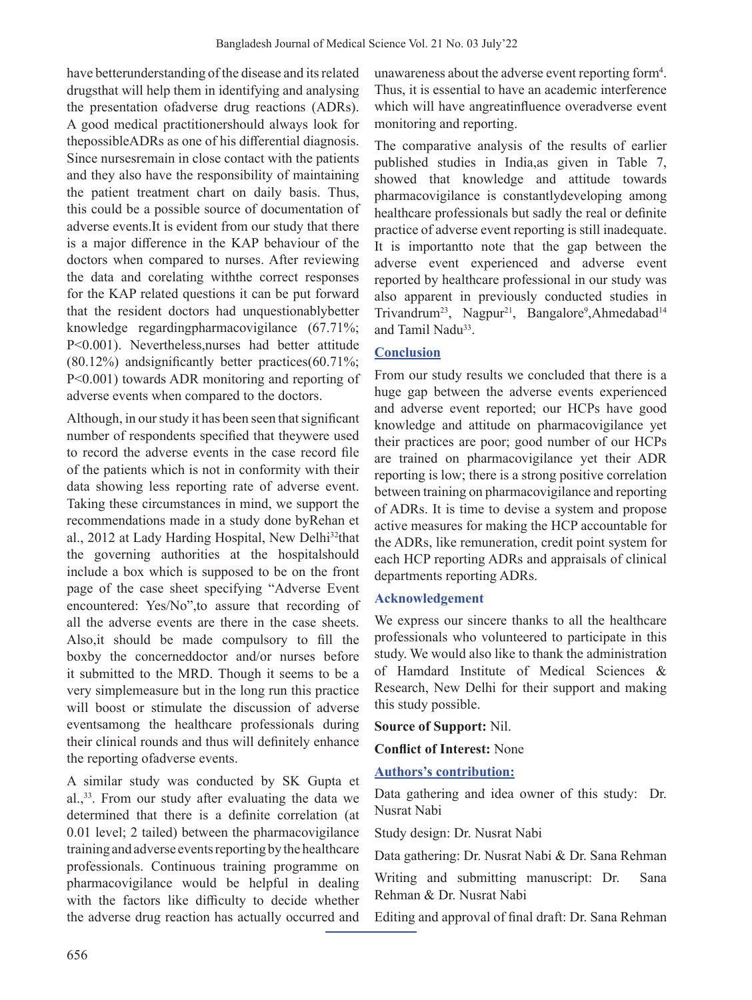have betterunderstanding of the disease and its related drugsthat will help them in identifying and analysing the presentation ofadverse drug reactions (ADRs). A good medical practitionershould always look for thepossibleADRs as one of his differential diagnosis. Since nursesremain in close contact with the patients and they also have the responsibility of maintaining the patient treatment chart on daily basis. Thus, this could be a possible source of documentation of adverse events.It is evident from our study that there is a major difference in the KAP behaviour of the doctors when compared to nurses. After reviewing the data and corelating withthe correct responses for the KAP related questions it can be put forward that the resident doctors had unquestionablybetter knowledge regardingpharmacovigilance (67.71%; P<0.001). Nevertheless,nurses had better attitude (80.12%) andsignificantly better practices(60.71%; P<0.001) towards ADR monitoring and reporting of adverse events when compared to the doctors.

Although, in our study it has been seen that significant number of respondents specified that theywere used to record the adverse events in the case record file of the patients which is not in conformity with their data showing less reporting rate of adverse event. Taking these circumstances in mind, we support the recommendations made in a study done byRehan et al., 2012 at Lady Harding Hospital, New Delhi32that the governing authorities at the hospitalshould include a box which is supposed to be on the front page of the case sheet specifying "Adverse Event encountered: Yes/No",to assure that recording of all the adverse events are there in the case sheets. Also,it should be made compulsory to fill the boxby the concerneddoctor and/or nurses before it submitted to the MRD. Though it seems to be a very simplemeasure but in the long run this practice will boost or stimulate the discussion of adverse eventsamong the healthcare professionals during their clinical rounds and thus will definitely enhance the reporting ofadverse events.

A similar study was conducted by SK Gupta et al.,<sup>33</sup>. From our study after evaluating the data we determined that there is a definite correlation (at 0.01 level; 2 tailed) between the pharmacovigilance training and adverse events reporting by the healthcare professionals. Continuous training programme on pharmacovigilance would be helpful in dealing with the factors like difficulty to decide whether the adverse drug reaction has actually occurred and

unawareness about the adverse event reporting form<sup>4</sup>. Thus, it is essential to have an academic interference which will have angreatinfluence overadverse event monitoring and reporting.

The comparative analysis of the results of earlier published studies in India,as given in Table 7, showed that knowledge and attitude towards pharmacovigilance is constantlydeveloping among healthcare professionals but sadly the real or definite practice of adverse event reporting is still inadequate. It is importantto note that the gap between the adverse event experienced and adverse event reported by healthcare professional in our study was also apparent in previously conducted studies in Trivandrum<sup>23</sup>, Nagpur<sup>21</sup>, Bangalore<sup>9</sup>,Ahmedabad<sup>14</sup> and Tamil Nadu<sup>33</sup>.

# **Conclusion**

From our study results we concluded that there is a huge gap between the adverse events experienced and adverse event reported; our HCPs have good knowledge and attitude on pharmacovigilance yet their practices are poor; good number of our HCPs are trained on pharmacovigilance yet their ADR reporting is low; there is a strong positive correlation between training on pharmacovigilance and reporting of ADRs. It is time to devise a system and propose active measures for making the HCP accountable for the ADRs, like remuneration, credit point system for each HCP reporting ADRs and appraisals of clinical departments reporting ADRs.

### **Acknowledgement**

We express our sincere thanks to all the healthcare professionals who volunteered to participate in this study. We would also like to thank the administration of Hamdard Institute of Medical Sciences & Research, New Delhi for their support and making this study possible.

**Source of Support:** Nil.

**Conflict of Interest:** None

### **Authors's contribution:**

Data gathering and idea owner of this study: Dr. Nusrat Nabi

Study design: Dr. Nusrat Nabi

Data gathering: Dr. Nusrat Nabi & Dr. Sana Rehman

Writing and submitting manuscript: Dr. Sana Rehman & Dr. Nusrat Nabi

Editing and approval of final draft: Dr. Sana Rehman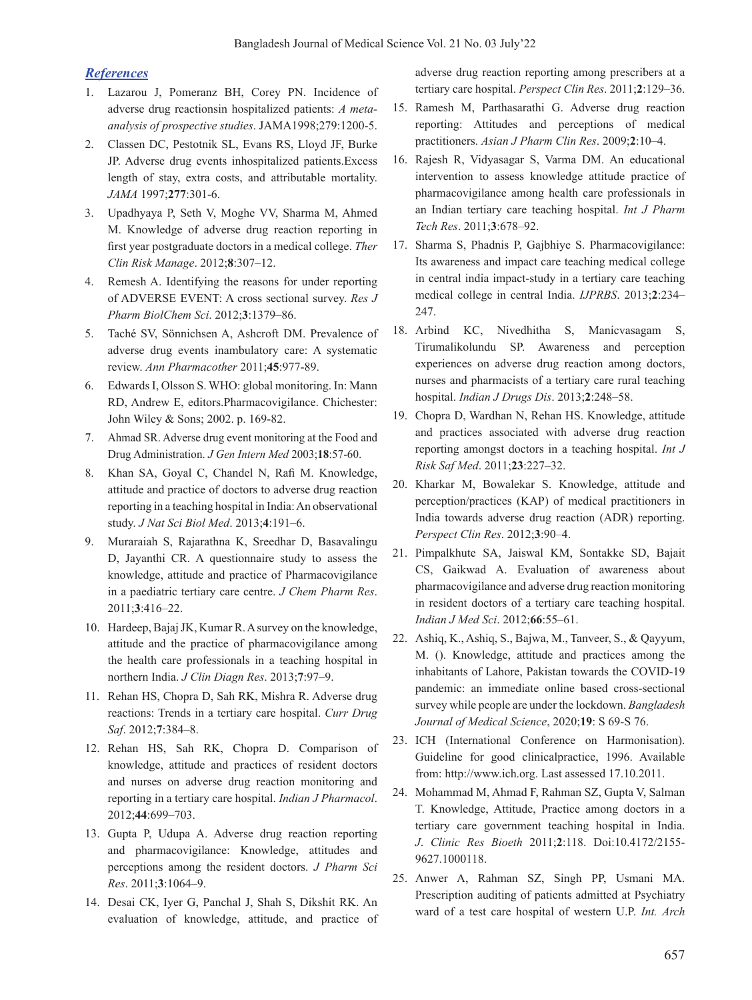### *References*

- 1. Lazarou J, Pomeranz BH, Corey PN. Incidence of adverse drug reactionsin hospitalized patients: *A metaanalysis of prospective studies*. JAMA1998;279:1200-5.
- 2. Classen DC, Pestotnik SL, Evans RS, Lloyd JF, Burke JP. Adverse drug events inhospitalized patients.Excess length of stay, extra costs, and attributable mortality. *JAMA* 1997;**277**:301-6.
- 3. Upadhyaya P, Seth V, Moghe VV, Sharma M, Ahmed M. Knowledge of adverse drug reaction reporting in first year postgraduate doctors in a medical college. *Ther Clin Risk Manage*. 2012;**8**:307–12.
- 4. Remesh A. Identifying the reasons for under reporting of ADVERSE EVENT: A cross sectional survey. *Res J Pharm BiolChem Sci*. 2012;**3**:1379–86.
- 5. Taché SV, Sönnichsen A, Ashcroft DM. Prevalence of adverse drug events inambulatory care: A systematic review. *Ann Pharmacother* 2011;**45**:977-89.
- 6. EdwardsI, Olsson S. WHO: global monitoring. In: Mann RD, Andrew E, editors.Pharmacovigilance. Chichester: John Wiley & Sons; 2002. p. 169-82.
- 7. Ahmad SR. Adverse drug event monitoring at the Food and Drug Administration. *J Gen Intern Med* 2003;**18**:57-60.
- 8. Khan SA, Goyal C, Chandel N, Rafi M. Knowledge, attitude and practice of doctors to adverse drug reaction reporting in a teaching hospital in India:An observational study. *J Nat Sci Biol Med*. 2013;**4**:191–6.
- 9. Muraraiah S, Rajarathna K, Sreedhar D, Basavalingu D, Jayanthi CR. A questionnaire study to assess the knowledge, attitude and practice of Pharmacovigilance in a paediatric tertiary care centre. *J Chem Pharm Res*. 2011;**3**:416–22.
- 10. Hardeep, BajajJK, Kumar R.Asurvey on the knowledge, attitude and the practice of pharmacovigilance among the health care professionals in a teaching hospital in northern India. *J Clin Diagn Res*. 2013;**7**:97–9.
- 11. Rehan HS, Chopra D, Sah RK, Mishra R. Adverse drug reactions: Trends in a tertiary care hospital. *Curr Drug Saf*. 2012;**7**:384–8.
- 12. Rehan HS, Sah RK, Chopra D. Comparison of knowledge, attitude and practices of resident doctors and nurses on adverse drug reaction monitoring and reporting in a tertiary care hospital. *Indian J Pharmacol*. 2012;**44**:699–703.
- 13. Gupta P, Udupa A. Adverse drug reaction reporting and pharmacovigilance: Knowledge, attitudes and perceptions among the resident doctors. *J Pharm Sci Res*. 2011;**3**:1064–9.
- 14. Desai CK, Iyer G, Panchal J, Shah S, Dikshit RK. An evaluation of knowledge, attitude, and practice of

adverse drug reaction reporting among prescribers at a tertiary care hospital. *Perspect Clin Res*. 2011;**2**:129–36.

- 15. Ramesh M, Parthasarathi G. Adverse drug reaction reporting: Attitudes and perceptions of medical practitioners. *Asian J Pharm Clin Res*. 2009;**2**:10–4.
- 16. Rajesh R, Vidyasagar S, Varma DM. An educational intervention to assess knowledge attitude practice of pharmacovigilance among health care professionals in an Indian tertiary care teaching hospital. *Int J Pharm Tech Res*. 2011;**3**:678–92.
- 17. Sharma S, Phadnis P, Gajbhiye S. Pharmacovigilance: Its awareness and impact care teaching medical college in central india impact-study in a tertiary care teaching medical college in central India. *IJPRBS*. 2013;**2**:234– 247.
- 18. Arbind KC, Nivedhitha S, Manicvasagam S, Tirumalikolundu SP. Awareness and perception experiences on adverse drug reaction among doctors, nurses and pharmacists of a tertiary care rural teaching hospital. *Indian J Drugs Dis*. 2013;**2**:248–58.
- 19. Chopra D, Wardhan N, Rehan HS. Knowledge, attitude and practices associated with adverse drug reaction reporting amongst doctors in a teaching hospital. *Int J Risk Saf Med*. 2011;**23**:227–32.
- 20. Kharkar M, Bowalekar S. Knowledge, attitude and perception/practices (KAP) of medical practitioners in India towards adverse drug reaction (ADR) reporting. *Perspect Clin Res*. 2012;**3**:90–4.
- 21. Pimpalkhute SA, Jaiswal KM, Sontakke SD, Bajait CS, Gaikwad A. Evaluation of awareness about pharmacovigilance and adverse drug reaction monitoring in resident doctors of a tertiary care teaching hospital. *Indian J Med Sci*. 2012;**66**:55–61.
- 22. Ashiq, K., Ashiq, S., Bajwa, M., Tanveer, S., & Qayyum, M. (). Knowledge, attitude and practices among the inhabitants of Lahore, Pakistan towards the COVID-19 pandemic: an immediate online based cross-sectional survey while people are under the lockdown. *Bangladesh Journal of Medical Science*, 2020;**19**: S 69-S 76.
- 23. ICH (International Conference on Harmonisation). Guideline for good clinicalpractice, 1996. Available from: http://www.ich.org. Last assessed 17.10.2011.
- 24. Mohammad M, Ahmad F, Rahman SZ, Gupta V, Salman T. Knowledge, Attitude, Practice among doctors in a tertiary care government teaching hospital in India. *J*. *Clinic Res Bioeth* 2011;**2**:118. Doi:10.4172/2155- 9627.1000118.
- 25. Anwer A, Rahman SZ, Singh PP, Usmani MA. Prescription auditing of patients admitted at Psychiatry ward of a test care hospital of western U.P. *Int. Arch*